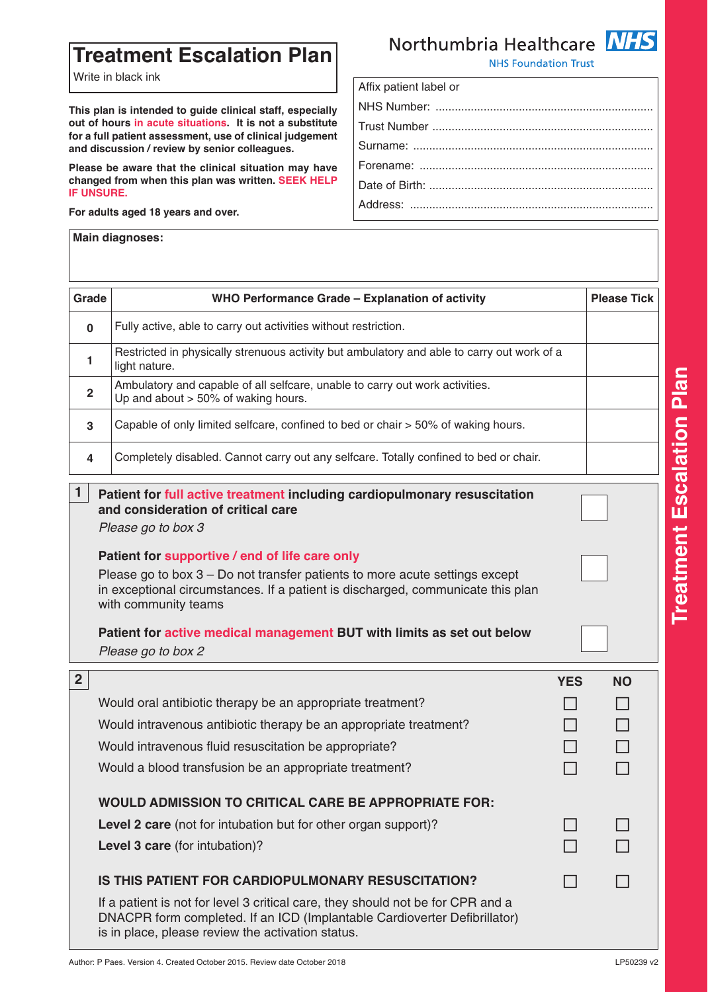## **Treatment Escalation Plan**

Write in black ink

**This plan is intended to guide clinical staff, especially out of hours in acute situations. It is not a substitute for a full patient assessment, use of clinical judgement and discussion / review by senior colleagues.**

**Please be aware that the clinical situation may have changed from when this plan was written. SEEK HELP IF UNSURE.**

**For adults aged 18 years and over.**

**Main diagnoses:**

## **NHS** Northumbria Healthcare

**NHS Foundation Trust** 

| Affix patient label or |
|------------------------|
|                        |
|                        |
|                        |
|                        |
|                        |
|                        |
|                        |

| Grade                                                                                                                                      | WHO Performance Grade - Explanation of activity                                                                                                                                                                                          |            | <b>Please Tick</b> |  |  |  |
|--------------------------------------------------------------------------------------------------------------------------------------------|------------------------------------------------------------------------------------------------------------------------------------------------------------------------------------------------------------------------------------------|------------|--------------------|--|--|--|
| $\bf{0}$                                                                                                                                   | Fully active, able to carry out activities without restriction.                                                                                                                                                                          |            |                    |  |  |  |
| 1                                                                                                                                          | Restricted in physically strenuous activity but ambulatory and able to carry out work of a<br>light nature.                                                                                                                              |            |                    |  |  |  |
| $\mathbf{2}$                                                                                                                               | Ambulatory and capable of all selfcare, unable to carry out work activities.<br>Up and about $> 50\%$ of waking hours.                                                                                                                   |            |                    |  |  |  |
| 3                                                                                                                                          | Capable of only limited selfcare, confined to bed or chair > 50% of waking hours.                                                                                                                                                        |            |                    |  |  |  |
| 4                                                                                                                                          | Completely disabled. Cannot carry out any selfcare. Totally confined to bed or chair.                                                                                                                                                    |            |                    |  |  |  |
| 1<br>Patient for full active treatment including cardiopulmonary resuscitation<br>and consideration of critical care<br>Please go to box 3 |                                                                                                                                                                                                                                          |            |                    |  |  |  |
|                                                                                                                                            | Patient for supportive / end of life care only<br>Please go to box 3 – Do not transfer patients to more acute settings except<br>in exceptional circumstances. If a patient is discharged, communicate this plan<br>with community teams |            |                    |  |  |  |
|                                                                                                                                            | Patient for active medical management BUT with limits as set out below<br>Please go to box 2                                                                                                                                             |            |                    |  |  |  |
| 2 <sup>1</sup>                                                                                                                             |                                                                                                                                                                                                                                          | <b>YES</b> | <b>NO</b>          |  |  |  |
|                                                                                                                                            | Would oral antibiotic therapy be an appropriate treatment?                                                                                                                                                                               |            |                    |  |  |  |
|                                                                                                                                            | Would intravenous antibiotic therapy be an appropriate treatment?                                                                                                                                                                        |            |                    |  |  |  |
|                                                                                                                                            | Would intravenous fluid resuscitation be appropriate?                                                                                                                                                                                    |            |                    |  |  |  |
|                                                                                                                                            | Would a blood transfusion be an appropriate treatment?                                                                                                                                                                                   |            |                    |  |  |  |
|                                                                                                                                            | <b>WOULD ADMISSION TO CRITICAL CARE BE APPROPRIATE FOR:</b>                                                                                                                                                                              |            |                    |  |  |  |
|                                                                                                                                            | Level 2 care (not for intubation but for other organ support)?                                                                                                                                                                           |            |                    |  |  |  |
|                                                                                                                                            | Level 3 care (for intubation)?                                                                                                                                                                                                           |            |                    |  |  |  |
|                                                                                                                                            | IS THIS PATIENT FOR CARDIOPULMONARY RESUSCITATION?                                                                                                                                                                                       |            |                    |  |  |  |
|                                                                                                                                            | If a patient is not for level 3 critical care, they should not be for CPR and a<br>DNACPR form completed. If an ICD (Implantable Cardioverter Defibrillator)<br>is in place, please review the activation status.                        |            |                    |  |  |  |

**n**